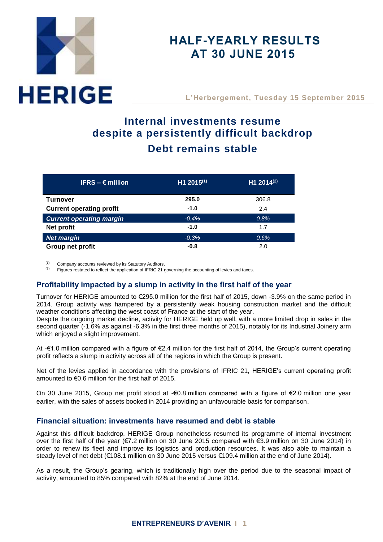# **HERIGE**

# **HALF-YEARLY RESULTS AT 30 JUNE 2015**

**L'Herbergement, Tuesday 15 September 2015**

# **Internal investments resume despite a persistently difficult backdrop Debt remains stable**

| IFRS $- \epsilon$ million       | $H1 2015^{(1)}$ | H1 2014(2) |
|---------------------------------|-----------------|------------|
| Turnover                        | 295.0           | 306.8      |
| <b>Current operating profit</b> | $-1.0$          | 2.4        |
| <b>Current operating margin</b> | $-0.4%$         | 0.8%       |
| Net profit                      | $-1.0$          | 1.7        |
| <b>Net margin</b>               | $-0.3%$         | 0.6%       |
| Group net profit                | $-0.8$          | 2.0        |

(1) Company accounts reviewed by its Statutory Auditors.<br>(2)  $\frac{[2]}{[2]}\text{EVALU}$  Sigures restated to reflect the application of IEDIC 21.

Figures restated to reflect the application of IFRIC 21 governing the accounting of levies and taxes.

# **Profitability impacted by a slump in activity in the first half of the year**

Turnover for HERIGE amounted to €295.0 million for the first half of 2015, down -3.9% on the same period in 2014. Group activity was hampered by a persistently weak housing construction market and the difficult weather conditions affecting the west coast of France at the start of the year.

Despite the ongoing market decline, activity for HERIGE held up well, with a more limited drop in sales in the second quarter (-1.6% as against -6.3% in the first three months of 2015), notably for its Industrial Joinery arm which enjoyed a slight improvement.

At -€1.0 million compared with a figure of €2.4 million for the first half of 2014, the Group's current operating profit reflects a slump in activity across all of the regions in which the Group is present.

Net of the levies applied in accordance with the provisions of IFRIC 21, HERIGE's current operating profit amounted to  $\epsilon$ 0.6 million for the first half of 2015.

On 30 June 2015, Group net profit stood at -€0.8 million compared with a figure of €2.0 million one year earlier, with the sales of assets booked in 2014 providing an unfavourable basis for comparison.

# **Financial situation: investments have resumed and debt is stable**

Against this difficult backdrop, HERIGE Group nonetheless resumed its programme of internal investment over the first half of the year (€7.2 million on 30 June 2015 compared with €3.9 million on 30 June 2014) in order to renew its fleet and improve its logistics and production resources. It was also able to maintain a steady level of net debt (€108.1 million on 30 June 2015 versus €109.4 million at the end of June 2014).

As a result, the Group's gearing, which is traditionally high over the period due to the seasonal impact of activity, amounted to 85% compared with 82% at the end of June 2014.